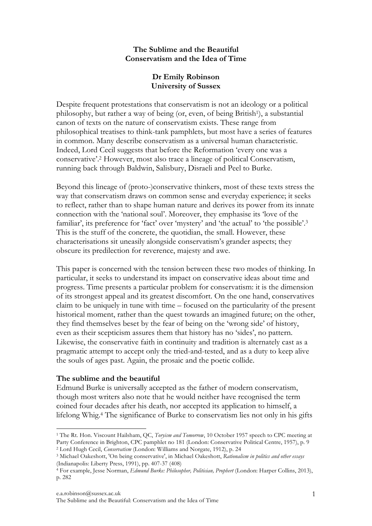# **The Sublime and the Beautiful Conservatism and the Idea of Time**

# **Dr Emily Robinson University of Sussex**

Despite frequent protestations that conservatism is not an ideology or a political philosophy, but rather a way of being (or, even, of being British1), a substantial canon of texts on the nature of conservatism exists. These range from philosophical treatises to think-tank pamphlets, but most have a series of features in common. Many describe conservatism as a universal human characteristic. Indeed, Lord Cecil suggests that before the Reformation 'every one was a conservative'. 2 However, most also trace a lineage of political Conservatism, running back through Baldwin, Salisbury, Disraeli and Peel to Burke.

Beyond this lineage of (proto-)conservative thinkers, most of these texts stress the way that conservatism draws on common sense and everyday experience; it seeks to reflect, rather than to shape human nature and derives its power from its innate connection with the 'national soul'. Moreover, they emphasise its 'love of the familiar', its preference for 'fact' over 'mystery' and 'the actual' to 'the possible'.3 This is the stuff of the concrete, the quotidian, the small. However, these characterisations sit uneasily alongside conservatism's grander aspects; they obscure its predilection for reverence, majesty and awe.

This paper is concerned with the tension between these two modes of thinking. In particular, it seeks to understand its impact on conservative ideas about time and progress. Time presents a particular problem for conservatism: it is the dimension of its strongest appeal and its greatest discomfort. On the one hand, conservatives claim to be uniquely in tune with time – focused on the particularity of the present historical moment, rather than the quest towards an imagined future; on the other, they find themselves beset by the fear of being on the 'wrong side' of history, even as their scepticism assures them that history has no 'sides', no pattern. Likewise, the conservative faith in continuity and tradition is alternately cast as a pragmatic attempt to accept only the tried-and-tested, and as a duty to keep alive the souls of ages past. Again, the prosaic and the poetic collide.

# **The sublime and the beautiful**

Edmund Burke is universally accepted as the father of modern conservatism, though most writers also note that he would neither have recognised the term coined four decades after his death, nor accepted its application to himself, a lifelong Whig.4 The significance of Burke to conservatism lies not only in his gifts

 <sup>1</sup> The Rt. Hon. Viscount Hailsham, QC, *Toryism and Tomorrow*, 10 October 1957 speech to CPC meeting at Party Conference in Brighton, CPC pamphlet no 181 (London: Conservative Political Centre, 1957), p. 9 2 Lord Hugh Cecil, *Conservatism* (London: Williams and Norgate, 1912), p. 24

<sup>3</sup> Michael Oakeshott, 'On being conservative', in Michael Oakeshott, *Rationalism in politics and other essays* (Indianapolis: Liberty Press, 1991), pp. 407-37 (408)

<sup>4</sup> For example, Jesse Norman, *Edmund Burke: Philosopher, Politician, Prophert* (London: Harper Collins, 2013), p. 282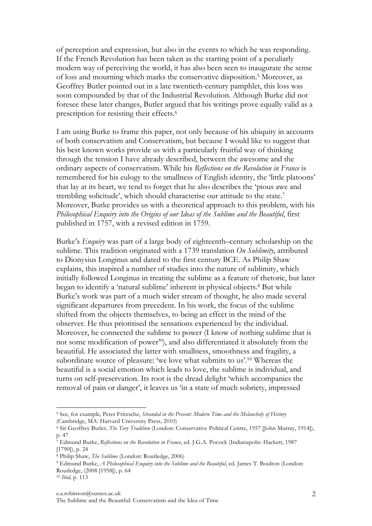of perception and expression, but also in the events to which he was responding. If the French Revolution has been taken as the starting point of a peculiarly modern way of perceiving the world, it has also been seen to inaugurate the sense of loss and mourning which marks the conservative disposition.5 Moreover, as Geoffrey Butler pointed out in a late twentieth-century pamphlet, this loss was soon compounded by that of the Industrial Revolution. Although Burke did not foresee these later changes, Butler argued that his writings prove equally valid as a prescription for resisting their effects. 6

I am using Burke to frame this paper, not only because of his ubiquity in accounts of both conservatism and Conservatism, but because I would like to suggest that his best known works provide us with a particularly fruitful way of thinking through the tension I have already described, between the awesome and the ordinary aspects of conservatism. While his *Reflections on the Revolution in France* is remembered for his eulogy to the smallness of English identity, the 'little platoons' that lay at its heart, we tend to forget that he also describes the 'pious awe and trembling solicitude', which should characterise our attitude to the state. 7 Moreover, Burke provides us with a theoretical approach to this problem, with his *Philosophical Enquiry into the Origins of our Ideas of the Sublime and the Beautiful*, first published in 1757, with a revised edition in 1759.

Burke's *Enquiry* was part of a large body of eighteenth–century scholarship on the sublime. This tradition originated with a 1739 translation *On Sublimity*, attributed to Dionysius Longinus and dated to the first century BCE. As Philip Shaw explains, this inspired a number of studies into the nature of sublimity, which initially followed Longinus in treating the sublime as a feature of rhetoric, but later began to identify a 'natural sublime' inherent in physical objects.8 But while Burke's work was part of a much wider stream of thought, he also made several significant departures from precedent. In his work, the focus of the sublime shifted from the objects themselves, to being an effect in the mind of the observer. He thus prioritised the sensations experienced by the individual. Moreover, he connected the sublime to power (I know of nothing sublime that is not some modification of power'9), and also differentiated it absolutely from the beautiful. He associated the latter with smallness, smoothness and fragility, a subordinate source of pleasure: 'we love what submits to us'.10 Whereas the beautiful is a social emotion which leads to love, the sublime is individual, and turns on self-preservation. Its root is the dread delight 'which accompanies the removal of pain or danger', it leaves us 'in a state of much sobriety, impressed

 

<sup>10</sup> *Ibid,* p. 113

<sup>5</sup> See, for example, Peter Fritzsche, *Stranded in the Present: Modern Time and the Melancholy of History* (Cambridge, MA: Harvard University Press, 2010)

<sup>6</sup> Sir Geoffrey Butler*, The Tory Tradition* (London: Conservative Political Centre, 1957 [John Murray, 1914]), p. 47

<sup>7</sup> Edmund Burke, *Reflections on the Revolution in France*, ed. J.G.A. Pocock (Indianapolis: Hackett, 1987 [1790]), p. 24

<sup>8</sup> Philip Shaw, *The Sublime* (London: Routledge, 2006)

<sup>9</sup> Edmund Burke, *A Philosophical Enquiry into the Sublime and the Beautiful*, ed. James T. Boulton (London: Routledge, (2008 [1958]), p. 64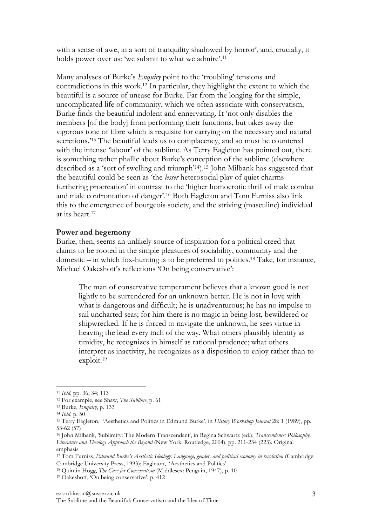with a sense of awe, in a sort of tranquility shadowed by horror', and, crucially, it holds power over us: 'we submit to what we admire'.<sup>11</sup>

Many analyses of Burke's *Enquiry* point to the 'troubling' tensions and contradictions in this work.12 In particular, they highlight the extent to which the beautiful is a source of unease for Burke. Far from the longing for the simple, uncomplicated life of community, which we often associate with conservatism, Burke finds the beautiful indolent and ennervating. It 'not only disables the members [of the body] from performing their functions, but takes away the vigorous tone of fibre which is requisite for carrying on the necessary and natural secretions.<sup>213</sup> The beautiful leads us to complacency, and so must be countered with the intense 'labour' of the sublime. As Terry Eagleton has pointed out, there is something rather phallic about Burke's conception of the sublime (elsewhere described as a 'sort of swelling and triumph'14). 15 John Milbank has suggested that the beautiful could be seen as 'the *lesser* heterosocial play of quiet charms furthering procreation' in contrast to the 'higher homoerotic thrill of male combat and male confrontation of danger'.16 Both Eagleton and Tom Furniss also link this to the emergence of bourgeois society, and the striving (masculine) individual at its heart.17

## **Power and hegemony**

Burke, then, seems an unlikely source of inspiration for a political creed that claims to be rooted in the simple pleasures of sociability, community and the domestic – in which fox-hunting is to be preferred to politics. <sup>18</sup> Take, for instance, Michael Oakeshott's reflections 'On being conservative':

The man of conservative temperament believes that a known good is not lightly to be surrendered for an unknown better. He is not in love with what is dangerous and difficult; he is unadventurous; he has no impulse to sail uncharted seas; for him there is no magic in being lost, bewildered or shipwrecked. If he is forced to navigate the unknown, he sees virtue in heaving the lead every inch of the way. What others plausibly identify as timidity, he recognizes in himself as rational prudence; what others interpret as inactivity, he recognizes as a disposition to enjoy rather than to exploit.19

<sup>11</sup> *Ibid*, pp. 36; 34; 113

<sup>12</sup> For example, see Shaw, *The Sublime*, p. 61

<sup>13</sup> Burke, *Enquiry*, p. 133

<sup>14</sup> *Ibid*, p. 50

<sup>15</sup> Terry Eagleton, 'Aesthetics and Politics in Edmund Burke', in *History Workshop Journal* 28: 1 (1989), pp. 53-62 (57)

<sup>16</sup> John Milbank, 'Sublimity: The Modern Transcendant', in Regina Schwartz (ed.), *Transcendence: Philosophy, Literature and Theology Approach the Beyond* (New York: Routledge, 2004), pp. 211-234 (223). Original emphasis

<sup>17</sup> Tom Furniss, *Edmund Burke's Aesthetic Ideology: Language, gender, and political economy in revolution* (Cambridge: Cambridge University Press, 1993); Eagleton, 'Aesthetics and Politics'

<sup>18</sup> Quintin Hogg, *The Case for Conservatism* (Middlesex: Penguin, 1947), p. 10

<sup>19</sup> Oakeshott, 'On being conservative', p. 412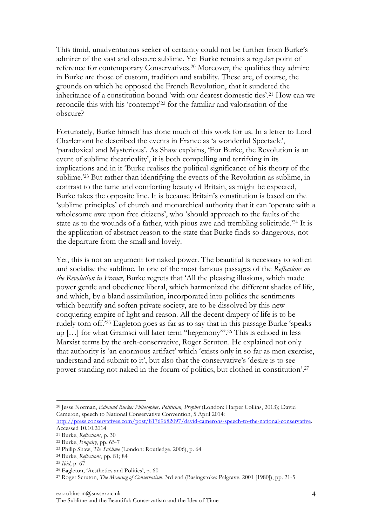This timid, unadventurous seeker of certainty could not be further from Burke's admirer of the vast and obscure sublime. Yet Burke remains a regular point of reference for contemporary Conservatives.20 Moreover, the qualities they admire in Burke are those of custom, tradition and stability. These are, of course, the grounds on which he opposed the French Revolution, that it sundered the inheritance of a constitution bound 'with our dearest domestic ties'. <sup>21</sup> How can we reconcile this with his 'contempt'22 for the familiar and valorisation of the obscure?

Fortunately, Burke himself has done much of this work for us. In a letter to Lord Charlemont he described the events in France as 'a wonderful Spectacle', 'paradoxical and Mysterious'. As Shaw explains, 'For Burke, the Revolution is an event of sublime theatricality', it is both compelling and terrifying in its implications and in it 'Burke realises the political significance of his theory of the sublime.'23 But rather than identifying the events of the Revolution as sublime, in contrast to the tame and comforting beauty of Britain, as might be expected, Burke takes the opposite line. It is because Britain's constitution is based on the 'sublime principles' of church and monarchical authority that it can 'operate with a wholesome awe upon free citizens', who 'should approach to the faults of the state as to the wounds of a father, with pious awe and trembling solicitude.'24 It is the application of abstract reason to the state that Burke finds so dangerous, not the departure from the small and lovely.

Yet, this is not an argument for naked power. The beautiful is necessary to soften and socialise the sublime. In one of the most famous passages of the *Reflections on the Revolution in France*, Burke regrets that 'All the pleasing illusions, which made power gentle and obedience liberal, which harmonized the different shades of life, and which, by a bland assimilation, incorporated into politics the sentiments which beautify and soften private society, are to be dissolved by this new conquering empire of light and reason. All the decent drapery of life is to be rudely torn off.'25 Eagleton goes as far as to say that in this passage Burke 'speaks up […] for what Gramsci will later term "hegemony"'.26 This is echoed in less Marxist terms by the arch-conservative, Roger Scruton. He explained not only that authority is 'an enormous artifact' which 'exists only in so far as men exercise, understand and submit to it', but also that the conservative's 'desire is to see power standing not naked in the forum of politics, but clothed in constitution'.27

 20 Jesse Norman, *Edmund Burke: Philosopher, Politician, Prophet* (London: Harper Collins, 2013); David Cameron, speech to National Conservative Convention, 5 April 2014:

http://press.conservatives.com/post/81769682097/david-camerons-speech-to-the-national-conservative. Accessed 10.10.2014

<sup>21</sup> Burke, *Reflections*, p. 30

<sup>22</sup> Burke, *Enquiry*, pp. 65-7

<sup>23</sup> Philip Shaw, *The Sublime* (London: Routledge, 2006), p. 64

<sup>24</sup> Burke, *Reflections*, pp. 81; 84

<sup>25</sup> *Ibid*, p. 67

<sup>26</sup> Eagleton, 'Aesthetics and Politics', p. 60

<sup>27</sup> Roger Scruton, *The Meaning of Conservatism*, 3rd end (Basingstoke: Palgrave, 2001 [1980]), pp. 21-5

The Sublime and the Beautiful: Conservatism and the Idea of Time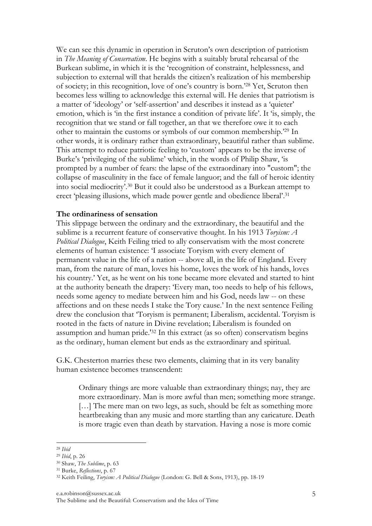We can see this dynamic in operation in Scruton's own description of patriotism in *The Meaning of Conservatism*. He begins with a suitably brutal rehearsal of the Burkean sublime, in which it is the 'recognition of constraint, helplessness, and subjection to external will that heralds the citizen's realization of his membership of society; in this recognition, love of one's country is born.'28 Yet, Scruton then becomes less willing to acknowledge this external will. He denies that patriotism is a matter of 'ideology' or 'self-assertion' and describes it instead as a 'quieter' emotion, which is 'in the first instance a condition of private life'. It 'is, simply, the recognition that we stand or fall together, an that we therefore owe it to each other to maintain the customs or symbols of our common membership.'29 In other words, it is ordinary rather than extraordinary, beautiful rather than sublime. This attempt to reduce patriotic feeling to 'custom' appears to be the inverse of Burke's 'privileging of the sublime' which, in the words of Philip Shaw, 'is prompted by a number of fears: the lapse of the extraordinary into "custom"; the collapse of masculinity in the face of female languor; and the fall of heroic identity into social mediocrity'. <sup>30</sup> But it could also be understood as a Burkean attempt to erect 'pleasing illusions, which made power gentle and obedience liberal'.31

### **The ordinariness of sensation**

This slippage between the ordinary and the extraordinary, the beautiful and the sublime is a recurrent feature of conservative thought. In his 1913 *Toryism: A Political Dialogue*, Keith Feiling tried to ally conservatism with the most concrete elements of human existence: 'I associate Toryism with every element of permanent value in the life of a nation -- above all, in the life of England. Every man, from the nature of man, loves his home, loves the work of his hands, loves his country.' Yet, as he went on his tone became more elevated and started to hint at the authority beneath the drapery: 'Every man, too needs to help of his fellows, needs some agency to mediate between him and his God, needs law -- on these affections and on these needs I stake the Tory cause.' In the next sentence Feiling drew the conclusion that 'Toryism is permanent; Liberalism, accidental. Toryism is rooted in the facts of nature in Divine revelation; Liberalism is founded on assumption and human pride.'32 In this extract (as so often) conservatism begins as the ordinary, human element but ends as the extraordinary and spiritual.

G.K. Chesterton marries these two elements, claiming that in its very banality human existence becomes transcendent:

Ordinary things are more valuable than extraordinary things; nay, they are more extraordinary. Man is more awful than men; something more strange. [...] The mere man on two legs, as such, should be felt as something more heartbreaking than any music and more startling than any caricature. Death is more tragic even than death by starvation. Having a nose is more comic

 

e.a.robinson@sussex.ac.uk

<sup>28</sup> *Ibid*

<sup>29</sup> *Ibid*, p. 26

<sup>30</sup> Shaw, *The Sublime*, p. 63

<sup>31</sup> Burke, *Reflections*, p. 67

<sup>32</sup> Keith Feiling, *Toryism: A Political Dialogue* (London: G. Bell & Sons, 1913), pp. 18-19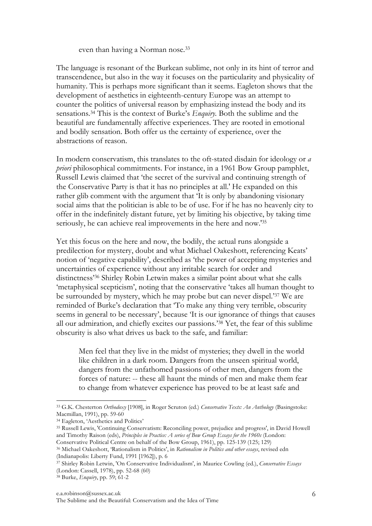### even than having a Norman nose.33

The language is resonant of the Burkean sublime, not only in its hint of terror and transcendence, but also in the way it focuses on the particularity and physicality of humanity. This is perhaps more significant than it seems. Eagleton shows that the development of aesthetics in eighteenth-century Europe was an attempt to counter the politics of universal reason by emphasizing instead the body and its sensations. 34 This is the context of Burke's *Enquiry.* Both the sublime and the beautiful are fundamentally affective experiences. They are rooted in emotional and bodily sensation. Both offer us the certainty of experience, over the abstractions of reason.

In modern conservatism, this translates to the oft-stated disdain for ideology or *a priori* philosophical commitments. For instance, in a 1961 Bow Group pamphlet, Russell Lewis claimed that 'the secret of the survival and continuing strength of the Conservative Party is that it has no principles at all.' He expanded on this rather glib comment with the argument that 'It is only by abandoning visionary social aims that the politician is able to be of use. For if he has no heavenly city to offer in the indefinitely distant future, yet by limiting his objective, by taking time seriously, he can achieve real improvements in the here and now.'35

Yet this focus on the here and now, the bodily, the actual runs alongside a predilection for mystery, doubt and what Michael Oakeshott, referencing Keats' notion of 'negative capability', described as 'the power of accepting mysteries and uncertainties of experience without any irritable search for order and distinctness'36 Shirley Robin Letwin makes a similar point about what she calls 'metaphysical scepticism', noting that the conservative 'takes all human thought to be surrounded by mystery, which he may probe but can never dispel.'37 We are reminded of Burke's declaration that 'To make any thing very terrible, obscurity seems in general to be necessary', because 'It is our ignorance of things that causes all our admiration, and chiefly excites our passions.'38 Yet, the fear of this sublime obscurity is also what drives us back to the safe, and familiar:

Men feel that they live in the midst of mysteries; they dwell in the world like children in a dark room. Dangers from the unseen spiritual world, dangers from the unfathomed passions of other men, dangers from the forces of nature: -- these all haunt the minds of men and make them fear to change from whatever experience has proved to be at least safe and

<sup>33</sup> G.K. Chesterton *Orthodoxy* [1908], in Roger Scruton (ed.) *Conservative Texts: An Anthology* (Basingstoke: Macmillan, 1991), pp. 59-60

<sup>&</sup>lt;sup>34</sup> Eagleton, 'Aesthetics and Politics'

<sup>35</sup> Russell Lewis, 'Continuing Conservatism: Reconciling power, prejudice and progress', in David Howell and Timothy Raison (eds), *Principles in Practice: A series of Bow Group Essays for the 1960s* (London: Conservative Political Centre on behalf of the Bow Group, 1961), pp. 125-139 (125; 129)

<sup>36</sup> Michael Oakeshott, 'Rationalism in Politics', in *Rationalism in Politics and other essays*, revised edn

<sup>(</sup>Indianapolis: Liberty Fund, 1991 [1962]), p. 6

<sup>37</sup> Shirley Robin Letwin, 'On Conservative Individualism', in Maurice Cowling (ed.), *Conservative Essays* (London: Cassell, 1978), pp. 52-68 (60)

<sup>38</sup> Burke, *Enquiry*, pp. 59; 61-2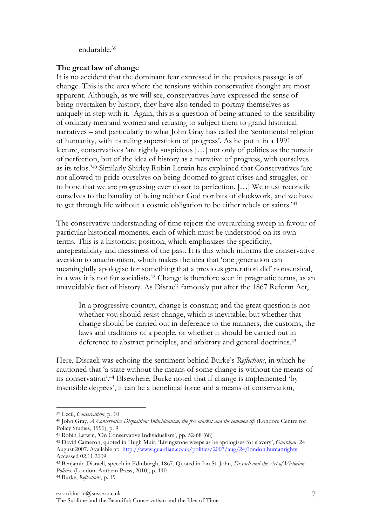endurable. 39

# **The great law of change**

It is no accident that the dominant fear expressed in the previous passage is of change. This is the area where the tensions within conservative thought are most apparent. Although, as we will see, conservatives have expressed the sense of being overtaken by history, they have also tended to portray themselves as uniquely in step with it. Again, this is a question of being attuned to the sensibility of ordinary men and women and refusing to subject them to grand historical narratives – and particularly to what John Gray has called the 'sentimental religion of humanity, with its ruling superstition of progress'. As he put it in a 1991 lecture, conservatives 'are rightly suspicious […] not only of politics as the pursuit of perfection, but of the idea of history as a narrative of progress, with ourselves as its telos.'40 Similarly Shirley Robin Letwin has explained that Conservatives 'are not allowed to pride ourselves on being doomed to great crises and struggles, or to hope that we are progressing ever closer to perfection. […] We must reconcile ourselves to the banality of being neither God nor bits of clockwork, and we have to get through life without a cosmic obligation to be either rebels or saints.'41

The conservative understanding of time rejects the overarching sweep in favour of particular historical moments, each of which must be understood on its own terms. This is a historicist position, which emphasizes the specificity, unrepeatability and messiness of the past. It is this which informs the conservative aversion to anachronism, which makes the idea that 'one generation can meaningfully apologise for something that a previous generation did' nonsensical, in a way it is not for socialists.42 Change is therefore seen in pragmatic terms, as an unavoidable fact of history. As Disraeli famously put after the 1867 Reform Act,

In a progressive country, change is constant; and the great question is not whether you should resist change, which is inevitable, but whether that change should be carried out in deference to the manners, the customs, the laws and traditions of a people, or whether it should be carried out in deference to abstract principles, and arbitrary and general doctrines.<sup>43</sup>

Here, Disraeli was echoing the sentiment behind Burke's *Reflections*, in which he cautioned that 'a state without the means of some change is without the means of its conservation'.44 Elsewhere, Burke noted that if change is implemented 'by insensible degrees', it can be a beneficial force and a means of conservation,

<sup>39</sup> Cecil, *Conservatism*, p. 10

<sup>40</sup> John Gray, *A Conservative Disposition: Individualism, the free market and the common life* (London: Centre for Policy Studies, 1991), p. 9

<sup>41</sup> Robin Letwin, 'On Conservative Individualism', pp. 52-68 (68)

<sup>42</sup> David Cameron, quoted in Hugh Muir, 'Livingstone weeps as he apologises for slavery', *Guardian*, 24 August 2007. Available at: http://www.guardian.co.uk/politics/2007/aug/24/london.humanrights. Accessed 02.11.2009

<sup>43</sup> Benjamin Disraeli, speech in Edinburgh, 1867. Quoted in Ian St. John, *Disraeli and the Art of Victorian Politics*. (London: Anthem Press, 2010), p. 110

<sup>44</sup> Burke, *Reflections*, p. 19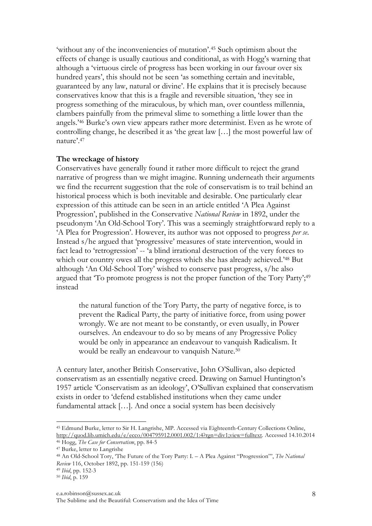'without any of the inconveniencies of mutation'.45 Such optimism about the effects of change is usually cautious and conditional, as with Hogg's warning that although a 'virtuous circle of progress has been working in our favour over six hundred years', this should not be seen 'as something certain and inevitable, guaranteed by any law, natural or divine'. He explains that it is precisely because conservatives know that this is a fragile and reversible situation, 'they see in progress something of the miraculous, by which man, over countless millennia, clambers painfully from the primeval slime to something a little lower than the angels.'46 Burke's own view appears rather more determinist. Even as he wrote of controlling change, he described it as 'the great law […] the most powerful law of nature'.47

### **The wreckage of history**

Conservatives have generally found it rather more difficult to reject the grand narrative of progress than we might imagine. Running underneath their arguments we find the recurrent suggestion that the role of conservatism is to trail behind an historical process which is both inevitable and desirable. One particularly clear expression of this attitude can be seen in an article entitled 'A Plea Against Progression', published in the Conservative *National Review* in 1892, under the pseudonym 'An Old-School Tory'. This was a seemingly straightforward reply to a 'A Plea for Progression'. However, its author was not opposed to progress *per se*. Instead s/he argued that 'progressive' measures of state intervention, would in fact lead to 'retrogression' -- 'a blind irrational destruction of the very forces to which our country owes all the progress which she has already achieved.<sup>248</sup> But although 'An Old-School Tory' wished to conserve past progress, s/he also argued that 'To promote progress is not the proper function of the Tory Party';<sup>49</sup> instead

the natural function of the Tory Party, the party of negative force, is to prevent the Radical Party, the party of initiative force, from using power wrongly. We are not meant to be constantly, or even usually, in Power ourselves. An endeavour to do so by means of any Progressive Policy would be only in appearance an endeavour to vanquish Radicalism. It would be really an endeavour to vanquish Nature.<sup>50</sup>

A century later, another British Conservative, John O'Sullivan, also depicted conservatism as an essentially negative creed. Drawing on Samuel Huntington's 1957 article 'Conservatism as an ideology', O'Sullivan explained that conservatism exists in order to 'defend established institutions when they came under fundamental attack […]. And once a social system has been decisively

<sup>45</sup> Edmund Burke, letter to Sir H. Langrishe, MP. Accessed via Eighteenth-Century Collections Online, http://quod.lib.umich.edu/e/ecco/004795912.0001.002/1:4?rgn=div1;view=fulltext. Accessed 14.10.2014

<sup>46</sup> Hogg, *The Case for Conservatism*, pp. 84-5

<sup>47</sup> Burke, letter to Langrishe

<sup>48</sup> An Old-School Tory, 'The Future of the Tory Party: I. – A Plea Against "Progression"', *The National Review* 116, October 1892, pp. 151-159 (156)

<sup>49</sup> *Ibid*, pp. 152-3

<sup>50</sup> *Ibid*, p. 159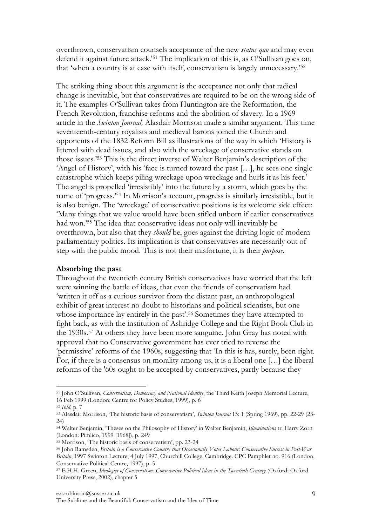overthrown, conservatism counsels acceptance of the new *status quo* and may even defend it against future attack.'51 The implication of this is, as O'Sullivan goes on, that 'when a country is at ease with itself, conservatism is largely unnecessary.'52

The striking thing about this argument is the acceptance not only that radical change is inevitable, but that conservatives are required to be on the wrong side of it. The examples O'Sullivan takes from Huntington are the Reformation, the French Revolution, franchise reforms and the abolition of slavery. In a 1969 article in the *Swinton Journal,* Alasdair Morrison made a similar argument. This time seventeenth-century royalists and medieval barons joined the Church and opponents of the 1832 Reform Bill as illustrations of the way in which 'History is littered with dead issues, and also with the wreckage of conservative stands on those issues.'53 This is the direct inverse of Walter Benjamin's description of the 'Angel of History', with his 'face is turned toward the past […], he sees one single catastrophe which keeps piling wreckage upon wreckage and hurls it as his feet.' The angel is propelled 'irresistibly' into the future by a storm, which goes by the name of 'progress.'54 In Morrison's account, progress is similarly irresistible, but it is also benign. The 'wreckage' of conservative positions is its welcome side effect: 'Many things that we value would have been stifled unborn if earlier conservatives had won.'55 The idea that conservative ideas not only will inevitably be overthrown, but also that they *should* be, goes against the driving logic of modern parliamentary politics. Its implication is that conservatives are necessarily out of step with the public mood. This is not their misfortune, it is their *purpose*.

# **Absorbing the past**

Throughout the twentieth century British conservatives have worried that the left were winning the battle of ideas, that even the friends of conservatism had 'written it off as a curious survivor from the distant past, an anthropological exhibit of great interest no doubt to historians and political scientists, but one whose importance lay entirely in the past'.<sup>56</sup> Sometimes they have attempted to fight back, as with the institution of Ashridge College and the Right Book Club in the 1930s.57 At others they have been more sanguine. John Gray has noted with approval that no Conservative government has ever tried to reverse the 'permissive' reforms of the 1960s, suggesting that 'In this is has, surely, been right. For, if there is a consensus on morality among us, it is a liberal one […] the liberal reforms of the '60s ought to be accepted by conservatives, partly because they

<sup>51</sup> John O'Sullivan, *Conservatism, Democracy and National Identity*, the Third Keith Joseph Memorial Lecture, 16 Feb 1999 (London: Centre for Policy Studies, 1999), p. 6

<sup>52</sup> *Ibid*, p. 7

<sup>53</sup> Alasdair Morrison, 'The historic basis of conservatism', *Swinton Journal* 15: 1 (Spring 1969), pp. 22-29 (23-  $(2.4)$ 

<sup>54</sup> Walter Benjamin, 'Theses on the Philosophy of History' in Walter Benjamin, *Illuminations* tr. Harry Zorn (London: Pimlico, 1999 [1968]), p. 249

<sup>&</sup>lt;sup>55</sup> Morrison, 'The historic basis of conservatism', pp. 23-24

<sup>56</sup> John Ramsden, *Britain is a Conservative Country that Occasionally Votes Labour: Conservative Success in Post-War Britain*, 1997 Swinton Lecture, 4 July 1997, Churchill College, Cambridge. CPC Pamphlet no. 916 (London, Conservative Political Centre, 1997), p. 5

<sup>57</sup> E.H.H. Green, *Ideologies of Conservatism: Conservative Political Ideas in the Twentieth Century* (Oxford: Oxford University Press, 2002), chapter 5

The Sublime and the Beautiful: Conservatism and the Idea of Time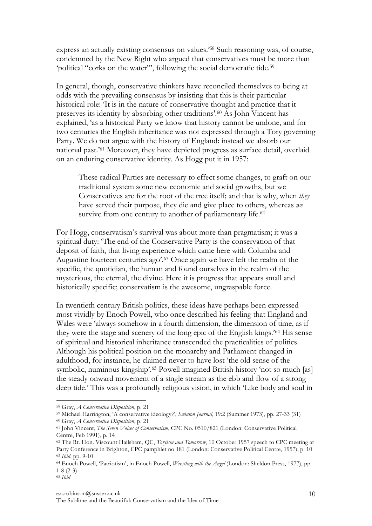express an actually existing consensus on values.'58 Such reasoning was, of course, condemned by the New Right who argued that conservatives must be more than 'political "corks on the water"', following the social democratic tide.<sup>59</sup>

In general, though, conservative thinkers have reconciled themselves to being at odds with the prevailing consensus by insisting that this is their particular historical role: 'It is in the nature of conservative thought and practice that it preserves its identity by absorbing other traditions'.60 As John Vincent has explained, 'as a historical Party we know that history cannot be undone, and for two centuries the English inheritance was not expressed through a Tory governing Party. We do not argue with the history of England: instead we absorb our national past.'61 Moreover, they have depicted progress as surface detail, overlaid on an enduring conservative identity. As Hogg put it in 1957:

These radical Parties are necessary to effect some changes, to graft on our traditional system some new economic and social growths, but we Conservatives are for the root of the tree itself; and that is why, when *they* have served their purpose, they die and give place to others, whereas *we* survive from one century to another of parliamentary life.<sup>62</sup>

For Hogg, conservatism's survival was about more than pragmatism; it was a spiritual duty: 'The end of the Conservative Party is the conservation of that deposit of faith, that living experience which came here with Columba and Augustine fourteen centuries ago'.63 Once again we have left the realm of the specific, the quotidian, the human and found ourselves in the realm of the mysterious, the eternal, the divine. Here it is progress that appears small and historically specific; conservatism is the awesome, ungraspable force.

In twentieth century British politics, these ideas have perhaps been expressed most vividly by Enoch Powell, who once described his feeling that England and Wales were 'always somehow in a fourth dimension, the dimension of time, as if they were the stage and scenery of the long epic of the English kings.'64 His sense of spiritual and historical inheritance transcended the practicalities of politics. Although his political position on the monarchy and Parliament changed in adulthood, for instance, he claimed never to have lost 'the old sense of the symbolic, numinous kingship'.65 Powell imagined British history 'not so much [as] the steady onward movement of a single stream as the ebb and flow of a strong deep tide.' This was a profoundly religious vision, in which 'Like body and soul in

#### e.a.robinson@sussex.ac.uk

 58 Gray, *A Conservative Disposition*, p. 21

<sup>59</sup> Michael Harrington, 'A conservative ideology?', *Swinton Journal*, 19:2 (Summer 1973), pp. 27-33 (31) 60 Gray, *A Conservative Disposition*, p. 21

<sup>61</sup> John Vincent, *The Seven Voices of Conservatism*, CPC No. 0510/821 (London: Conservative Political Centre, Feb 1991), p. 14

<sup>62</sup> The Rt. Hon. Viscount Hailsham, QC, *Toryism and Tomorrow*, 10 October 1957 speech to CPC meeting at Party Conference in Brighton, CPC pamphlet no 181 (London: Conservative Political Centre, 1957), p. 10 <sup>63</sup> *Ibid*, pp. 9-10

<sup>64</sup> Enoch Powell, 'Patriotism', in Enoch Powell, *Wrestling with the Angel* (London: Sheldon Press, 1977), pp. 1-8 (2-3)

<sup>65</sup> *Ibid*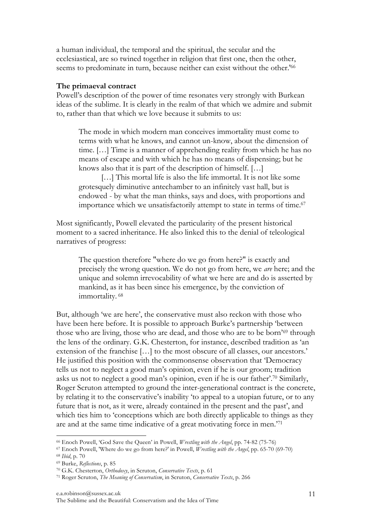a human individual, the temporal and the spiritual, the secular and the ecclesiastical, are so twined together in religion that first one, then the other, seems to predominate in turn, because neither can exist without the other.<sup>'66</sup>

## **The primaeval contract**

Powell's description of the power of time resonates very strongly with Burkean ideas of the sublime. It is clearly in the realm of that which we admire and submit to, rather than that which we love because it submits to us:

The mode in which modern man conceives immortality must come to terms with what he knows, and cannot un-know, about the dimension of time. […] Time is a manner of apprehending reality from which he has no means of escape and with which he has no means of dispensing; but he knows also that it is part of the description of himself. […]

[...] This mortal life is also the life immortal. It is not like some grotesquely diminutive antechamber to an infinitely vast hall, but is endowed - by what the man thinks, says and does, with proportions and importance which we unsatisfactorily attempt to state in terms of time.<sup>67</sup>

Most significantly, Powell elevated the particularity of the present historical moment to a sacred inheritance. He also linked this to the denial of teleological narratives of progress:

The question therefore "where do we go from here?" is exactly and precisely the wrong question. We do not go from here, we *are* here; and the unique and solemn irrevocability of what we here are and do is asserted by mankind, as it has been since his emergence, by the conviction of immortality. <sup>68</sup>

But, although 'we are here', the conservative must also reckon with those who have been here before. It is possible to approach Burke's partnership 'between those who are living, those who are dead, and those who are to be born'69 through the lens of the ordinary. G.K. Chesterton, for instance, described tradition as 'an extension of the franchise […] to the most obscure of all classes, our ancestors.' He justified this position with the commonsense observation that 'Democracy tells us not to neglect a good man's opinion, even if he is our groom; tradition asks us not to neglect a good man's opinion, even if he is our father'.70 Similarly, Roger Scruton attempted to ground the inter-generational contract is the concrete, by relating it to the conservative's inability 'to appeal to a utopian future, or to any future that is not, as it were, already contained in the present and the past', and which ties him to 'conceptions which are both directly applicable to things as they are and at the same time indicative of a great motivating force in men.'71

 

<sup>66</sup> Enoch Powell, 'God Save the Queen' in Powell, *Wrestling with the Angel*, pp. 74-82 (75-76)

<sup>67</sup> Enoch Powell, 'Where do we go from here?' in Powell, *Wrestling with the Angel*, pp. 65-70 (69-70) <sup>68</sup> *Ibid*, p. 70

<sup>69</sup> Burke, *Reflections*, p. 85

<sup>70</sup> G.K. Chesterton, *Orthodoxy*, in Scruton, *Conservative Texts*, p. 61

<sup>71</sup> Roger Scruton, *The Meaning of Conservatism*, in Scruton, *Conservative Texts*, p. 266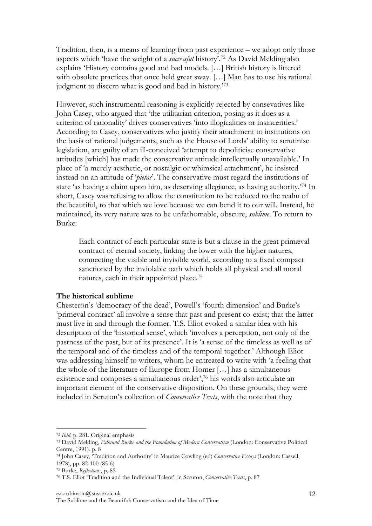Tradition, then, is a means of learning from past experience – we adopt only those aspects which 'have the weight of a *successful* history'.72 As David Melding also explains 'History contains good and bad models. […] British history is littered with obsolete practices that once held great sway. […] Man has to use his rational judgment to discern what is good and bad in history.' 73

However, such instrumental reasoning is explicitly rejected by consevatives like John Casey, who argued that 'the utilitarian criterion, posing as it does as a criterion of rationality' drives conservatives 'into illogicalities or insincerities.' According to Casey, conservatives who justify their attachment to institutions on the basis of rational judgements, such as the House of Lords' ability to scrutinise legislation, are guilty of an ill-conceived 'attempt to depoliticise conservative attitudes [which] has made the conservative attitude intellectually unavailable.' In place of 'a merely aesthetic, or nostalgic or whimsical attachment', he insisted instead on an attitude of '*pietas*'. The conservative must regard the institutions of state 'as having a claim upon him, as deserving allegiance, as having authority.'74 In short, Casey was refusing to allow the constitution to be reduced to the realm of the beautiful, to that which we love because we can bend it to our will. Instead, he maintained, its very nature was to be unfathomable, obscure, *sublime*. To return to Burke:

Each contract of each particular state is but a clause in the great primæval contract of eternal society, linking the lower with the higher natures, connecting the visible and invisible world, according to a fixed compact sanctioned by the inviolable oath which holds all physical and all moral natures, each in their appointed place.75

#### **The historical sublime**

Chesteron's 'democracy of the dead', Powell's 'fourth dimension' and Burke's 'primeval contract' all involve a sense that past and present co-exist; that the latter must live in and through the former. T.S. Eliot evoked a similar idea with his description of the 'historical sense', which 'involves a perception, not only of the pastness of the past, but of its presence'. It is 'a sense of the timeless as well as of the temporal and of the timeless and of the temporal together.' Although Eliot was addressing himself to writers, whom he entreated to write with 'a feeling that the whole of the literature of Europe from Homer […] has a simultaneous existence and composes a simultaneous order',<sup>76</sup> his words also articulate an important element of the conservative disposition. On these grounds, they were included in Scruton's collection of *Conservative Texts*, with the note that they

 

<sup>72</sup> *Ibid*, p. 281. Original emphasis

<sup>73</sup> David Melding, *Edmund Burke and the Foundation of Modern Conservatism* (London: Conservative Political Centre, 1991), p. 8

<sup>74</sup> John Casey, 'Tradition and Authority' in Maurice Cowling (ed) *Conservative Essays* (London: Cassell, 1978), pp. 82-100 (85-6)

<sup>75</sup> Burke, *Reflections*, p. 85

<sup>76</sup> T.S. Eliot 'Tradition and the Individual Talent', in Scruton, *Conservative Texts*, p. 87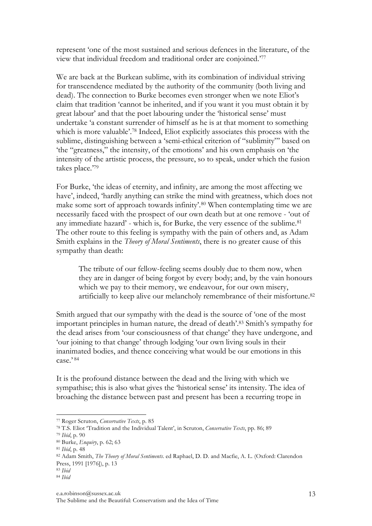represent 'one of the most sustained and serious defences in the literature, of the view that individual freedom and traditional order are conjoined.'77

We are back at the Burkean sublime, with its combination of individual striving for transcendence mediated by the authority of the community (both living and dead). The connection to Burke becomes even stronger when we note Eliot's claim that tradition 'cannot be inherited, and if you want it you must obtain it by great labour' and that the poet labouring under the 'historical sense' must undertake 'a constant surrender of himself as he is at that moment to something which is more valuable'.78 Indeed, Eliot explicitly associates this process with the sublime, distinguishing between a 'semi-ethical criterion of "sublimity"' based on 'the "greatness," the intensity, of the emotions' and his own emphasis on 'the intensity of the artistic process, the pressure, so to speak, under which the fusion takes place.'79

For Burke, 'the ideas of eternity, and infinity, are among the most affecting we have', indeed, 'hardly anything can strike the mind with greatness, which does not make some sort of approach towards infinity'.80 When contemplating time we are necessarily faced with the prospect of our own death but at one remove - 'out of any immediate hazard' - which is, for Burke, the very essence of the sublime.<sup>81</sup> The other route to this feeling is sympathy with the pain of others and, as Adam Smith explains in the *Theory of Moral Sentiments*, there is no greater cause of this sympathy than death:

The tribute of our fellow-feeling seems doubly due to them now, when they are in danger of being forgot by every body; and, by the vain honours which we pay to their memory, we endeavour, for our own misery, artificially to keep alive our melancholy remembrance of their misfortune.82

Smith argued that our sympathy with the dead is the source of 'one of the most important principles in human nature, the dread of death'.83 Smith's sympathy for the dead arises from 'our consciousness of that change' they have undergone, and 'our joining to that change' through lodging 'our own living souls in their inanimated bodies, and thence conceiving what would be our emotions in this  $case$ , 84

It is the profound distance between the dead and the living with which we sympathise; this is also what gives the 'historical sense' its intensity. The idea of broaching the distance between past and present has been a recurring trope in

 77 Roger Scruton, *Conservative Texts*, p. 85

<sup>78</sup> T.S. Eliot 'Tradition and the Individual Talent', in Scruton, *Conservative Texts*, pp. 86; 89

<sup>79</sup> *Ibid*, p. 90

<sup>80</sup> Burke, *Enquiry*, p. 62; 63

<sup>81</sup> *Ibid*, p. 48

<sup>82</sup> Adam Smith, *The Theory of Moral Sentiments*. ed Raphael, D. D. and Macfie, A. L. (Oxford: Clarendon Press, 1991 [1976]), p. 13

<sup>83</sup> *Ibid* <sup>84</sup> *Ibid*

e.a.robinson@sussex.ac.uk

The Sublime and the Beautiful: Conservatism and the Idea of Time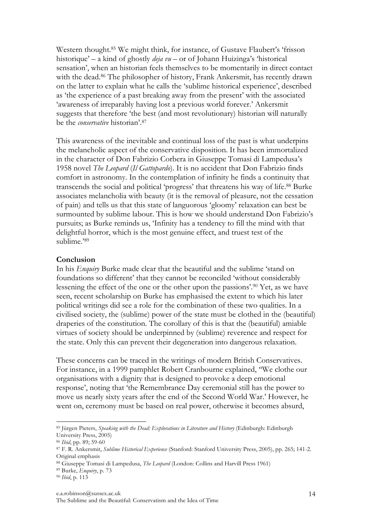Western thought.85 We might think, for instance, of Gustave Flaubert's 'frisson historique' – a kind of ghostly *deja vu* – or of Johann Huizinga's 'historical sensation', when an historian feels themselves to be momentarily in direct contact with the dead. <sup>86</sup> The philosopher of history, Frank Ankersmit, has recently drawn on the latter to explain what he calls the 'sublime historical experience', described as 'the experience of a past breaking away from the present' with the associated 'awareness of irreparably having lost a previous world forever.' Ankersmit suggests that therefore 'the best (and most revolutionary) historian will naturally be the *conservative* historian'.87

This awareness of the inevitable and continual loss of the past is what underpins the melancholic aspect of the conservative disposition. It has been immortalized in the character of Don Fabrizio Corbera in Giuseppe Tomasi di Lampedusa's 1958 novel *The Leopard* (*Il Gattopardo*). It is no accident that Don Fabrizio finds comfort in astronomy. In the contemplation of infinity he finds a continuity that transcends the social and political 'progress' that threatens his way of life. <sup>88</sup> Burke associates melancholia with beauty (it is the removal of pleasure, not the cessation of pain) and tells us that this state of languorous 'gloomy' relaxation can best be surmounted by sublime labour. This is how we should understand Don Fabrizio's pursuits; as Burke reminds us, 'Infinity has a tendency to fill the mind with that delightful horror, which is the most genuine effect, and truest test of the sublime.'89

# **Conclusion**

In his *Enquiry* Burke made clear that the beautiful and the sublime 'stand on foundations so different' that they cannot be reconciled 'without considerably lessening the effect of the one or the other upon the passions'. <sup>90</sup> Yet, as we have seen, recent scholarship on Burke has emphasised the extent to which his later political writings did see a role for the combination of these two qualities. In a civilised society, the (sublime) power of the state must be clothed in the (beautiful) draperies of the constitution. The corollary of this is that the (beautiful) amiable virtues of society should be underpinned by (sublime) reverence and respect for the state. Only this can prevent their degeneration into dangerous relaxation.

These concerns can be traced in the writings of modern British Conservatives. For instance, in a 1999 pamphlet Robert Cranbourne explained, ''We clothe our organisations with a dignity that is designed to provoke a deep emotional response', noting that 'the Remembrance Day ceremonial still has the power to move us nearly sixty years after the end of the Second World War.' However, he went on, ceremony must be based on real power, otherwise it becomes absurd,

<sup>85</sup> Jürgen Pieters, *Speaking with the Dead: Explorations in Literature and History* (Edinburgh: Edinburgh University Press, 2005)

<sup>86</sup> *Ibid*, pp. 89; 59-60

<sup>87</sup> F. R. Ankersmit, *Sublime Historical Experience* (Stanford: Stanford University Press, 2005), pp. 265; 141-2. Original emphasis

<sup>88</sup> Giuseppe Tomasi di Lampedusa, *The Leopard* (London: Collins and Harvill Press 1961)

<sup>89</sup> Burke, *Enquiry*, p. 73 90 *Ibid*, p. 113